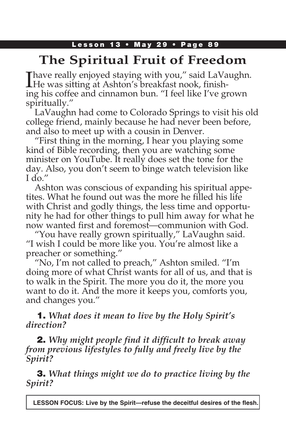### Lesson 13 • May 29 • Page 89

# **The Spiritual Fruit of Freedom**

**Thave really enjoyed staying with you," said LaVaughn. THe was sitting at Ashton's breakfast nook, finish**ing his coffee and cinnamon bun. "I feel like I've grown spiritually."

LaVaughn had come to Colorado Springs to visit his old college friend, mainly because he had never been before, and also to meet up with a cousin in Denver.

"First thing in the morning, I hear you playing some kind of Bible recording, then you are watching some minister on YouTube. It really does set the tone for the day. Also, you don't seem to binge watch television like I do."

Ashton was conscious of expanding his spiritual appetites. What he found out was the more he filled his life with Christ and godly things, the less time and opportunity he had for other things to pull him away for what he now wanted first and foremost—communion with God.

"You have really grown spiritually," LaVaughn said. "I wish I could be more like you. You're almost like a preacher or something."

"No, I'm not called to preach," Ashton smiled. "I'm doing more of what Christ wants for all of us, and that is to walk in the Spirit. The more you do it, the more you want to do it. And the more it keeps you, comforts you, and changes you."

## 1. *What does it mean to live by the Holy Spirit's direction?*

2. *Why might people find it difficult to break away from previous lifestyles to fully and freely live by the Spirit?*

3. *What things might we do to practice living by the Spirit?*

**LESSON FOCUS: Live by the Spirit—refuse the deceitful desires of the flesh.**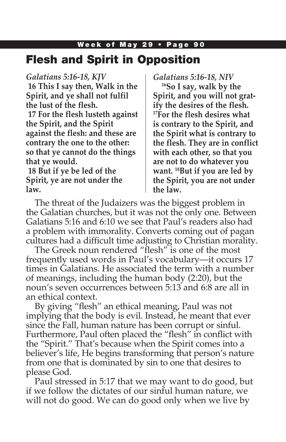## Week of May 29 • Page 90 Flesh and Spirit in Opposition

### *Galatians 5:16-18, KJV*

**16 This I say then, Walk in the Spirit, and ye shall not fulfil the lust of the flesh. 17 For the flesh lusteth against the Spirit, and the Spirit against the flesh: and these are contrary the one to the other: so that ye cannot do the things that ye would.**

**18 But if ye be led of the Spirit, ye are not under the law.**

### *Galatians 5:16-18, NIV*

**16So I say, walk by the Spirit, and you will not gratify the desires of the flesh. 17For the flesh desires what is contrary to the Spirit, and the Spirit what is contrary to the flesh. They are in conflict with each other, so that you are not to do whatever you want. 18But if you are led by the Spirit, you are not under the law.**

The threat of the Judaizers was the biggest problem in the Galatian churches, but it was not the only one. Between Galatians 5:16 and 6:10 we see that Paul's readers also had a problem with immorality. Converts coming out of pagan cultures had a difficult time adjusting to Christian morality.

The Greek noun rendered "flesh" is one of the most frequently used words in Paul's vocabulary—it occurs 17 times in Galatians. He associated the term with a number of meanings, including the human body (2:20), but the noun's seven occurrences between 5:13 and 6:8 are all in an ethical context.

By giving "flesh" an ethical meaning, Paul was not implying that the body is evil. Instead, he meant that ever since the Fall, human nature has been corrupt or sinful. Furthermore, Paul often placed the "flesh" in conflict with the "Spirit." That's because when the Spirit comes into a believer's life, He begins transforming that person's nature from one that is dominated by sin to one that desires to please God.

Paul stressed in 5:17 that we may want to do good, but if we follow the dictates of our sinful human nature, we will not do good. We can do good only when we live by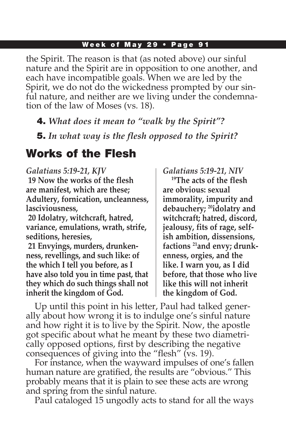#### Week of May 29 • Page 91

the Spirit. The reason is that (as noted above) our sinful nature and the Spirit are in opposition to one another, and each have incompatible goals. When we are led by the Spirit, we do not do the wickedness prompted by our sinful nature, and neither are we living under the condemnation of the law of Moses (vs. 18).

4. *What does it mean to "walk by the Spirit"?*

5. *In what way is the flesh opposed to the Spirit?*

## Works of the Flesh

#### *Galatians 5:19-21, KJV*

**19 Now the works of the flesh are manifest, which are these; Adultery, fornication, uncleanness, lasciviousness,**

**20 Idolatry, witchcraft, hatred, variance, emulations, wrath, strife, seditions, heresies,**

**21 Envyings, murders, drunkenness, revellings, and such like: of the which I tell you before, as I have also told you in time past, that they which do such things shall not inherit the kingdom of God.**

#### *Galatians 5:19-21, NIV*

**19The acts of the flesh are obvious: sexual immorality, impurity and debauchery; 20idolatry and witchcraft; hatred, discord, jealousy, fits of rage, selfish ambition, dissensions, factions 21and envy; drunkenness, orgies, and the like. I warn you, as I did before, that those who live like this will not inherit the kingdom of God.**

Up until this point in his letter, Paul had talked generally about how wrong it is to indulge one's sinful nature and how right it is to live by the Spirit. Now, the apostle got specific about what he meant by these two diametrically opposed options, first by describing the negative consequences of giving into the "flesh" (vs. 19).

For instance, when the wayward impulses of one's fallen human nature are gratified, the results are "obvious." This probably means that it is plain to see these acts are wrong and spring from the sinful nature.

Paul cataloged 15 ungodly acts to stand for all the ways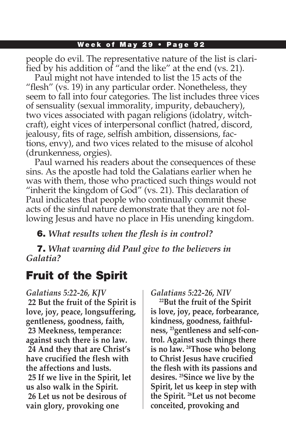#### Week of May 29 • Page 92

people do evil. The representative nature of the list is clarified by his addition of "and the like" at the end (vs. 21).

Paul might not have intended to list the 15 acts of the "flesh" (vs. 19) in any particular order. Nonetheless, they seem to fall into four categories. The list includes three vices of sensuality (sexual immorality, impurity, debauchery), two vices associated with pagan religions (idolatry, witchcraft), eight vices of interpersonal conflict (hatred, discord, jealousy, fits of rage, selfish ambition, dissensions, factions, envy), and two vices related to the misuse of alcohol (drunkenness, orgies).

Paul warned his readers about the consequences of these sins. As the apostle had told the Galatians earlier when he was with them, those who practiced such things would not "inherit the kingdom of God" (vs. 21). This declaration of Paul indicates that people who continually commit these acts of the sinful nature demonstrate that they are not following Jesus and have no place in His unending kingdom.

6. *What results when the flesh is in control?*

7. *What warning did Paul give to the believers in Galatia?*

## Fruit of the Spirit

*Galatians 5:22-26, KJV* **22 But the fruit of the Spirit is love, joy, peace, longsuffering, gentleness, goodness, faith, 23 Meekness, temperance: against such there is no law. 24 And they that are Christ's have crucified the flesh with the affections and lusts. 25 If we live in the Spirit, let us also walk in the Spirit. 26 Let us not be desirous of vain glory, provoking one** 

#### *Galatians 5:22-26, NIV*

**22But the fruit of the Spirit is love, joy, peace, forbearance, kindness, goodness, faithfulness, 23gentleness and self-control. Against such things there is no law. 24Those who belong to Christ Jesus have crucified the flesh with its passions and desires. 25Since we live by the Spirit, let us keep in step with the Spirit. 26Let us not become conceited, provoking and**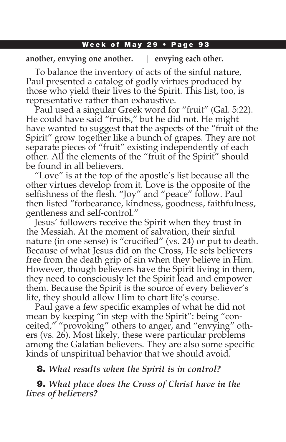#### Week of May 29 • Page 93

### **another, envying one another. envying each other.**

To balance the inventory of acts of the sinful nature, Paul presented a catalog of godly virtues produced by those who yield their lives to the Spirit. This list, too, is representative rather than exhaustive.

Paul used a singular Greek word for "fruit" (Gal. 5:22). He could have said "fruits," but he did not. He might have wanted to suggest that the aspects of the "fruit of the Spirit" grow together like a bunch of grapes. They are not separate pieces of "fruit" existing independently of each other. All the elements of the "fruit of the Spirit" should be found in all believers.

"Love" is at the top of the apostle's list because all the other virtues develop from it. Love is the opposite of the selfishness of the flesh. "Joy" and "peace" follow. Paul then listed "forbearance, kindness, goodness, faithfulness, gentleness and self-control."

Jesus' followers receive the Spirit when they trust in the Messiah. At the moment of salvation, their sinful nature (in one sense) is "crucified" (vs. 24) or put to death. Because of what Jesus did on the Cross, He sets believers free from the death grip of sin when they believe in Him. However, though believers have the Spirit living in them, they need to consciously let the Spirit lead and empower them. Because the Spirit is the source of every believer's life, they should allow Him to chart life's course.

Paul gave a few specific examples of what he did not mean by keeping "in step with the Spirit": being "conceited," "provoking" others to anger, and "envying" others (vs. 26). Most likely, these were particular problems among the Galatian believers. They are also some specific kinds of unspiritual behavior that we should avoid.

## 8. *What results when the Spirit is in control?*

9. *What place does the Cross of Christ have in the lives of believers?*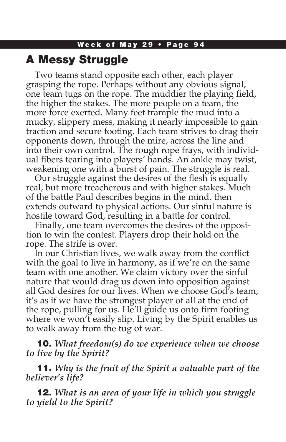## A Messy Struggle

Two teams stand opposite each other, each player grasping the rope. Perhaps without any obvious signal, one team tugs on the rope. The muddier the playing field, the higher the stakes. The more people on a team, the more force exerted. Many feet trample the mud into a mucky, slippery mess, making it nearly impossible to gain traction and secure footing. Each team strives to drag their opponents down, through the mire, across the line and into their own control. The rough rope frays, with individual fibers tearing into players' hands. An ankle may twist, weakening one with a burst of pain. The struggle is real.

Our struggle against the desires of the flesh is equally real, but more treacherous and with higher stakes. Much of the battle Paul describes begins in the mind, then extends outward to physical actions. Our sinful nature is hostile toward God, resulting in a battle for control.

Finally, one team overcomes the desires of the opposition to win the contest. Players drop their hold on the rope. The strife is over.

In our Christian lives, we walk away from the conflict with the goal to live in harmony, as if we're on the same team with one another. We claim victory over the sinful nature that would drag us down into opposition against all God desires for our lives. When we choose God's team, it's as if we have the strongest player of all at the end of the rope, pulling for us. He'll guide us onto firm footing where we won't easily slip. Living by the Spirit enables us to walk away from the tug of war.

10. *What freedom(s) do we experience when we choose to live by the Spirit?*

11. *Why is the fruit of the Spirit a valuable part of the believer's life?*

12. *What is an area of your life in which you struggle to yield to the Spirit?*